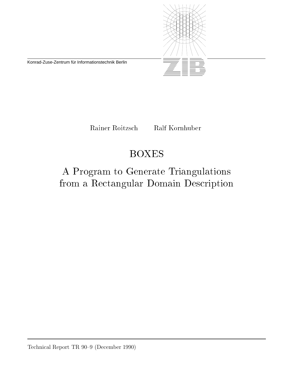

Konrad-Zuse-Zentrum für Informationstechnik Berlin

Rainer Roitzsch Ralf Kornhuber

# BOXES

# A Program to Generate Triangulations from a Rectangular Domain Description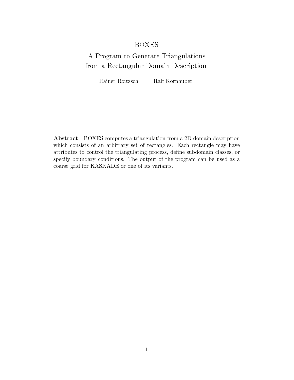#### BOXES

## A Program to Generate Triangulations from a Rectangular Domain Description

Rainer Roitzsch Ralf Kornhuber

**Abstract** BOXES computes a triangulation from a 2D domain description which consists of an arbitrary set of rectangles. Each rectangle may have attributes to control the triangulating process, define subdomain classes, or specify boundary conditions. The output of the program can be used as a coarse grid for KASKADE or one of its variants.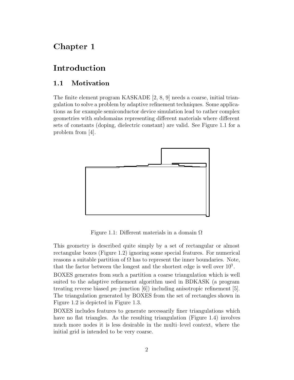## Chapter 1

### Introduction

#### $1.1$ Motivation

The finite element program KASKADE [2, 8, 9] needs a coarse, initial triangulation to solve a problem by adaptive refinement techniques. Some applications as for example semiconductor device simulation lead to rather complex geometries with subdomains representing different materials where different sets of constants (doping, dielectric constant) are valid. See Figure 1.1 for a problem from [4].



Figure 1.1: Different materials in a domain  $\Omega$ 

This geometry is described quite simply by a set of rectangular or almost rectangular boxes (Figure 1.2) ignoring some special features. For numerical reasons a suitable partition of  $\Omega$  has to represent the inner boundaries. Note, that the factor between the longest and the shortest edge is well over  $10<sup>3</sup>$ .

BOXES generates from such a partition a coarse triangulation which is well suited to the adaptive refinement algorithm used in BDKASK (a program treating reverse biased *pn*–junction [6]) including anisotropic refinement [5]. The triangulation generated by BOXES from the set of rectangles shown in Figure 1.2 is depicted in Figure 1.3.

BOXES includes features to generate necessarily finer triangulations which have no flat triangles. As the resulting triangulation (Figure 1.4) involves much more nodes it is less desirable in the multi–level context, where the initial grid is intended to be very coarse.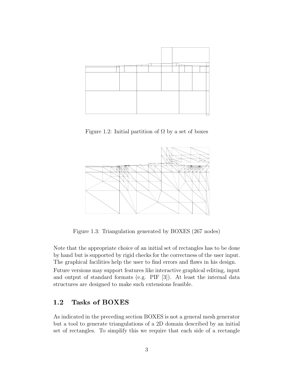

Figure 1.2: Initial partition of  $\Omega$  by a set of boxes



Figure 1.3: Triangulation generated by BOXES (267 nodes)

Note that the appropriate choice of an initial set of rectangles has to be done by hand but is supported by rigid checks for the correctness of the user input. The graphical facilities help the user to find errors and flaws in his design. Future versions may support features like interactive graphical editing, input and output of standard formats (e.g. PIF [3]). At least the internal data structures are designed to make such extensions feasible.

#### $1.2$ Tasks of BOXES

As indicated in the preceding section BOXES is not a general mesh generator but a tool to generate triangulations of a 2D domain described by an initial set of rectangles. To simplify this we require that each side of a rectangle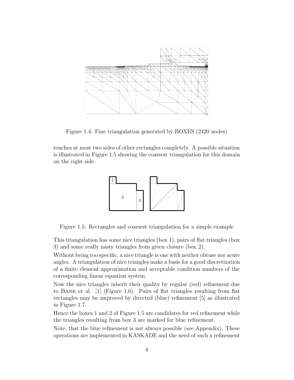

Figure 1.4: Fine triangulation generated by BOXES (2420 nodes)

touches at most two sides of other rectangles completely. A possible situation is illustrated in Figure 1.5 showing the coarsest triangulation for this domain on the right side.



Figure 1.5: Rectangles and coarsest triangulation for a simple example

This triangulation has some nice triangles (box 1), pairs of flat triangles (box 3) and some really nasty triangles from green closure (box 2).

Without being too specific, a nice triangle is one with neither obtuse nor acute angles. A triangulation of nice triangles make a basis for a good discretization of a finite element approximation and acceptable condition numbers of the corresponding linear equation system.

Now the nice triangles inherit their quality by regular (red) refinement due to Bank et al. [1] (Figure 1.6). Pairs of flat triangles resulting from flat rectangles may be improved by directed (blue) refinement [5] as illustrated in Figure 1.7.

Hence the boxes 1 and 2 of Figure 1.5 are candidates for red refinement while the triangles resulting from box 3 are marked for blue refinement.

Note, that the blue refinement is not always possible (see Appendix). These operations are implemented in KASKADE and the need of such a refinement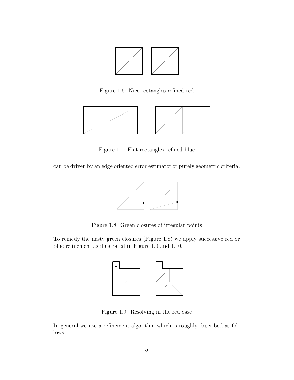

Figure 1.6: Nice rectangles refined red



Figure 1.7: Flat rectangles refined blue

can be driven by an edge oriented error estimator or purely geometric criteria.



Figure 1.8: Green closures of irregular points

To remedy the nasty green closures (Figure 1.8) we apply successive red or blue refinement as illustrated in Figure 1.9 and 1.10.



Figure 1.9: Resolving in the red case

In general we use a refinement algorithm which is roughly described as follows.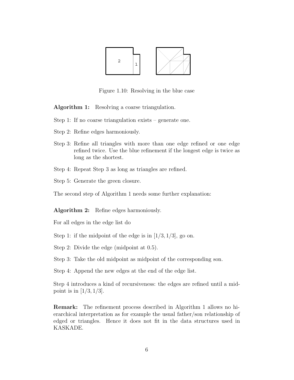

Figure 1.10: Resolving in the blue case

**Algorithm 1:** Resolving a coarse triangulation.

- Step 1: If no coarse triangulation exists generate one.
- Step 2: Refine edges harmoniously.
- Step 3: Refine all triangles with more than one edge refined or one edge refined twice. Use the blue refinement if the longest edge is twice as long as the shortest.
- Step 4: Repeat Step 3 as long as triangles are refined.
- Step 5: Generate the green closure.

The second step of Algorithm 1 needs some further explanation:

**Algorithm 2:** Refine edges harmoniously.

For all edges in the edge list do

Step 1: if the midpoint of the edge is in [1*/*3*,* 1*/*3], go on.

Step 2: Divide the edge (midpoint at 0*.*5).

Step 3: Take the old midpoint as midpoint of the corresponding son.

Step 4: Append the new edges at the end of the edge list.

Step 4 introduces a kind of recursiveness: the edges are refined until a midpoint is in [1*/*3*,* 1*/*3].

**Remark:** The refinement process described in Algorithm 1 allows no hierarchical interpretation as for example the usual father/son relationship of edged or triangles. Hence it does not fit in the data structures used in KASKADE.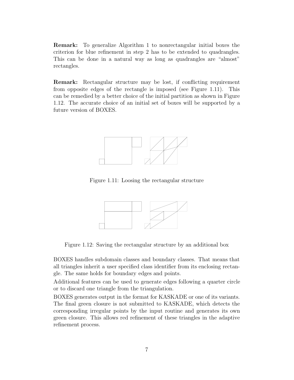**Remark:** To generalize Algorithm 1 to nonrectangular initial boxes the criterion for blue refinement in step 2 has to be extended to quadrangles. This can be done in a natural way as long as quadrangles are "almost" rectangles.

**Remark:** Rectangular structure may be lost, if conflicting requirement from opposite edges of the rectangle is imposed (see Figure 1.11). This can be remedied by a better choice of the initial partition as shown in Figure 1.12. The accurate choice of an initial set of boxes will be supported by a future version of BOXES.



Figure 1.11: Loosing the rectangular structure



Figure 1.12: Saving the rectangular structure by an additional box

BOXES handles subdomain classes and boundary classes. That means that all triangles inherit a user specified class identifier from its enclosing rectangle. The same holds for boundary edges and points.

Additional features can be used to generate edges following a quarter circle or to discard one triangle from the triangulation.

BOXES generates output in the format for KASKADE or one of its variants. The final green closure is not submitted to KASKADE, which detects the corresponding irregular points by the input routine and generates its own green closure. This allows red refinement of these triangles in the adaptive refinement process.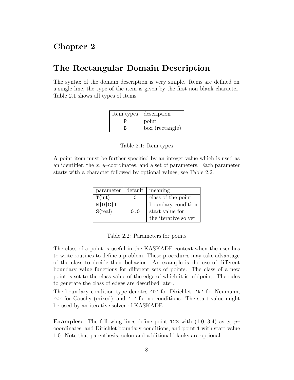#### Chapter 2

### The Rectangular Domain Description

The syntax of the domain description is very simple. Items are defined on a single line, the type of the item is given by the first non blank character. Table 2.1 shows all types of items.

| item types   description |
|--------------------------|
| point                    |
| box (rectangle)          |

Table 2.1: Item types

A point item must be further specified by an integer value which is used as an identifier, the *x*, *y*–coordinates, and a set of parameters. Each parameter starts with a character followed by optional values, see Table 2.2.

| parameter                     | default | meaning              |
|-------------------------------|---------|----------------------|
| $T\langle \text{int} \rangle$ |         | class of the point   |
| N D C I                       | T       | boundary condition   |
| $S\langle real\rangle$        | 0.0     | start value for      |
|                               |         | the iterative solver |

Table 2.2: Parameters for points

The class of a point is useful in the KASKADE context when the user has to write routines to define a problem. These procedures may take advantage of the class to decide their behavior. An example is the use of different boundary value functions for different sets of points. The class of a new point is set to the class value of the edge of which it is midpoint. The rules to generate the class of edges are described later.

The boundary condition type denotes 'D' for Dirichlet, 'N' for Neumann, 'C' for Cauchy (mixed), and 'I' for no conditions. The start value might be used by an iterative solver of KASKADE.

**Examples:** The following lines define point 123 with  $(1.0,-3.4)$  as x, y– coordinates, and Dirichlet boundary conditions, and point 1 with start value 1.0. Note that parenthesis, colon and additional blanks are optional.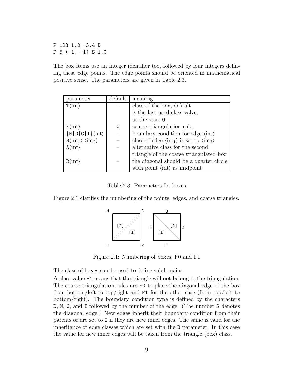P 123 1.0 -3.4 D P 5 (-1, -1) S 1.0

The box items use an integer identifier too, followed by four integers defining these edge points. The edge points should be oriented in mathematical positive sense. The parameters are given in Table 2.3.

| parameter                                                    | default | meaning                                                                               |
|--------------------------------------------------------------|---------|---------------------------------------------------------------------------------------|
| $T\langle \text{int} \rangle$                                |         | class of the box, default                                                             |
|                                                              |         | is the last used class valve,                                                         |
|                                                              |         | at the start 0                                                                        |
| $F\langle \text{int} \rangle$                                | 0       | coarse triangulation rule,                                                            |
| $\{N   D   C   I\}$ $\langle int \rangle$                    |         | boundary condition for edge $\langle \text{int} \rangle$                              |
| $B\langle \text{int}_1 \rangle \langle \text{int}_2 \rangle$ |         | class of edge $\langle \text{int}_1 \rangle$ is set to $\langle \text{int}_2 \rangle$ |
| $A\langle \text{int} \rangle$                                |         | alternative class for the second                                                      |
|                                                              |         | triangle of the coarse triangulated box                                               |
| $R\langle \text{int} \rangle$                                |         | the diagonal should be a quarter circle                                               |
|                                                              |         | with point $\langle \text{int} \rangle$ as midpoint                                   |

Table 2.3: Parameters for boxes

Figure 2.1 clarifies the numbering of the points, edges, and coarse triangles.



Figure 2.1: Numbering of boxes, F0 and F1

The class of boxes can be used to define subdomains.

A class value -1 means that the triangle will not belong to the triangulation. The coarse triangulation rules are F0 to place the diagonal edge of the box from bottom/left to top/right and F1 for the other case (from top/left to bottom/right). The boundary condition type is defined by the characters D, N, C, and I followed by the number of the edge. (The number 5 denotes the diagonal edge.) New edges inherit their boundary condition from their parents or are set to I if they are new inner edges. The same is valid for the inheritance of edge classes which are set with the B parameter. In this case the value for new inner edges will be taken from the triangle (box) class.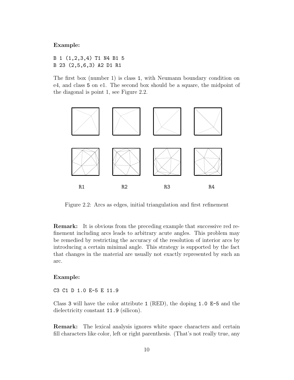#### **Example:**

B 1 (1,2,3,4) T1 N4 B1 5 B 23 (2,5,6,3) A2 D1 R1

The first box (number 1) is class 1, with Neumann boundary condition on e4, and class 5 on e1. The second box should be a square, the midpoint of the diagonal is point 1, see Figure 2.2.



Figure 2.2: Arcs as edges, initial triangulation and first refinement

**Remark:** It is obvious from the preceding example that successive red refinement including arcs leads to arbitrary acute angles. This problem may be remedied by restricting the accuracy of the resolution of interior arcs by introducing a certain minimal angle. This strategy is supported by the fact that changes in the material are usually not exactly represented by such an arc.

#### **Example:**

C3 C1 D 1.0 E-5 E 11.9

Class 3 will have the color attribute 1 (RED), the doping 1.0 E-5 and the dielectricity constant 11.9 (silicon).

**Remark:** The lexical analysis ignores white space characters and certain fill characters like color, left or right parenthesis. (That's not really true, any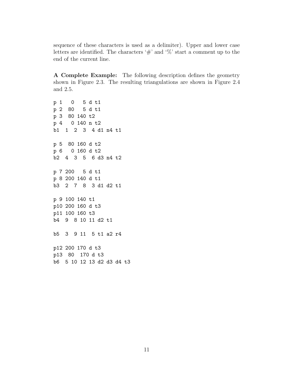sequence of these characters is used as a delimiter). Upper and lower case letters are identified. The characters  $\sharp$  and  $\%$  start a comment up to the end of the current line.

**A Complete Example:** The following description defines the geometry shown in Figure 2.3. The resulting triangulations are shown in Figure 2.4 and 2.5.

p 1 0 5 d t1 p 2 80 5 d t1 p 3 80 140 t2 p 4 0 140 n t2 b1 1 2 3 4 d1 n4 t1 p 5 80 160 d t2 p 6 0 160 d t2 b2 4 3 5 6 d3 n4 t2 p 7 200 5 d t1 p 8 200 140 d t1 b3 2 7 8 3 d1 d2 t1 p 9 100 140 t1 p10 200 160 d t3 p11 100 160 t3 b4 9 8 10 11 d2 t1 b5 3 9 11 5 t1 a2 r4 p12 200 170 d t3 p13 80 170 d t3 b6 5 10 12 13 d2 d3 d4 t3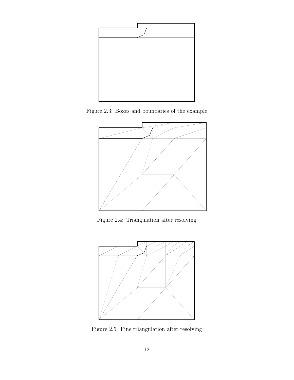

Figure 2.3: Boxes and boundaries of the example



Figure 2.4: Triangulation after resolving



Figure 2.5: Fine triangulation after resolving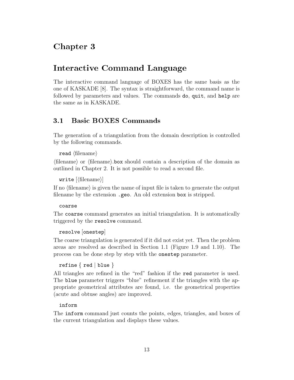### Chapter 3

### Interactive Command Language

The interactive command language of BOXES has the same basis as the one of KASKADE [8]. The syntax is straightforward, the command name is followed by parameters and values. The commands do, quit, and help are the same as in KASKADE.

#### Basic BOXES Commands

The generation of a triangulation from the domain description is controlled by the following commands.

```
\texttt{read}~\langle \text{filename} \rangle
```
 $\langle$  filename $\rangle$  or  $\langle$  filename $\rangle$ . box should contain a description of the domain as outlined in Chapter 2. It is not possible to read a second file.

 $\texttt{write}\ [\langle \text{filename} \rangle]$ 

If no  $\langle$  filename $\rangle$  is given the name of input file is taken to generate the output filename by the extension .geo. An old extension box is stripped.

#### coarse

The coarse command generates an initial triangulation. It is automatically triggered by the resolve command.

#### resolve [onestep]

The coarse triangulation is generated if it did not exist yet. Then the problem areas are resolved as described in Section 1.1 (Figure 1.9 and 1.10). The process can be done step by step with the onestep parameter.

```
refine \{ red \} blue \}
```
All triangles are refined in the "red" fashion if the red parameter is used. The blue parameter triggers "blue" refinement if the triangles with the appropriate geometrical attributes are found, i.e. the geometrical properties (acute and obtuse angles) are improved.

#### inform

The inform command just counts the points, edges, triangles, and boxes of the current triangulation and displays these values.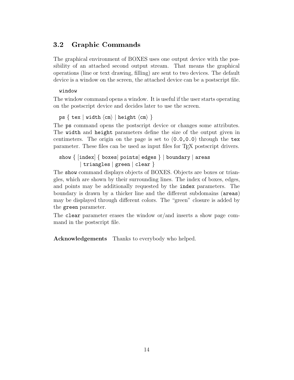#### 3.2 Graphic Commands

The graphical environment of BOXES uses one output device with the possibility of an attached second output stream. That means the graphical operations (line or text drawing, filling) are sent to two devices. The default device is a window on the screen, the attached device can be a postscript file.

#### window

The window command opens a window. It is useful if the user starts operating on the postscript device and decides later to use the screen.

```
\mathsf{ps}\, \left\{ \text{ text} \mid \text{width}\, \langle \textsf{cm} \rangle \mid \textsf{height}\, \langle \textsf{cm} \rangle \; \right\}
```
The ps command opens the postscript device or changes some attributes. The width and height parameters define the size of the output given in centimeters. The origin on the page is set to  $(0.0, 0.0)$  through the tex parameter. These files can be used as input files for TEX postscript drivers.

```
show { [index] { boxes| points| edges } | boundary | areas
| triangles | green | clear }
```
The show command displays objects of BOXES. Objects are boxes or triangles, which are shown by their surrounding lines. The index of boxes, edges, and points may be additionally requested by the index parameters. The boundary is drawn by a thicker line and the different subdomains (areas) may be displayed through different colors. The "green" closure is added by the green parameter.

The clear parameter erases the window or/and inserts a show page command in the postscript file.

**Acknowledgements** Thanks to everybody who helped.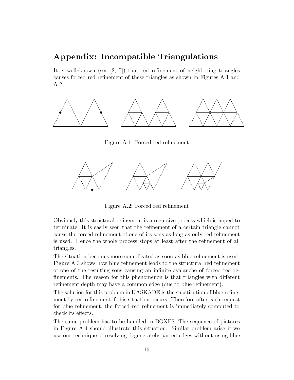### Appendix: Incompatible Triangulations

It is well–known (see  $[2, 7]$ ) that red refinement of neighboring triangles causes forced red refinement of these triangles as shown in Figures A.1 and A.2.



Figure A.1: Forced red refinement



Figure A.2: Forced red refinement

Obviously this structural refinement is a recursive process which is hoped to terminate. It is easily seen that the refinement of a certain triangle cannot cause the forced refinement of one of its sons as long as only red refinement is used. Hence the whole process stops at least after the refinement of all triangles.

The situation becomes more complicated as soon as blue refinement is used. Figure A.3 shows how blue refinement leads to the structural red refinement of one of the resulting sons causing an infinite avalanche of forced red refinements. The reason for this phenomenon is that triangles with different refinement depth may have a common edge (due to blue refinement).

The solution for this problem in KASKADE is the substitution of blue refinement by red refinement if this situation occurs. Therefore after each request for blue refinement, the forced red refinement is immediately computed to check its effects.

The same problem has to be handled in BOXES. The sequence of pictures in Figure A.4 should illustrate this situation. Similar problem arise if we use our technique of resolving degenerately parted edges without using blue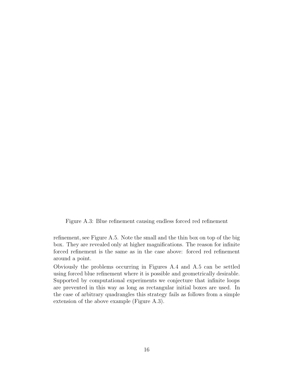Figure A.3: Blue refinement causing endless forced red refinement

refinement, see Figure A.5. Note the small and the thin box on top of the big box. They are revealed only at higher magnifications. The reason for infinite forced refinement is the same as in the case above: forced red refinement around a point.

Obviously the problems occurring in Figures A.4 and A.5 can be settled using forced blue refinement where it is possible and geometrically desirable. Supported by computational experiments we conjecture that infinite loops are prevented in this way as long as rectangular initial boxes are used. In the case of arbitrary quadrangles this strategy fails as follows from a simple extension of the above example (Figure A.3).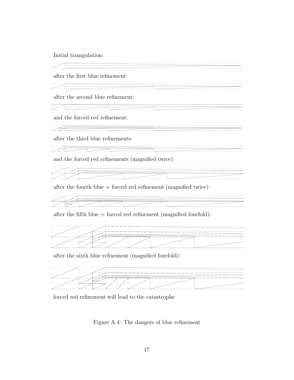Initial triangulation:

after the first blue refinement:

 $\angle$ 

 $\angle$ 

 $\sqrt{2}$ 

after the second blue refinement:

and the forced red refinement:

after the third blue refinements:

 $\sqrt{2}$ 

and the forced red refinements (magnified twice):

after the fourth blue + forced red refinement (magnified twice):

after the fifth blue  $+$  forced red refinement (magnified fourfold):



after the sixth blue refinement (magnified fourfold):



forced red refinement will lead to the catastrophe

Figure A.4: The dangers of blue refinement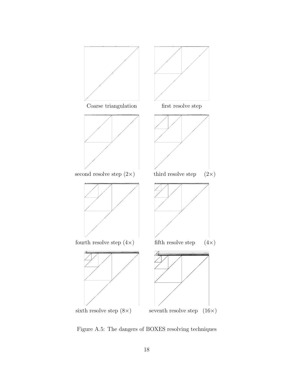

Figure A.5: The dangers of BOXES resolving techniques